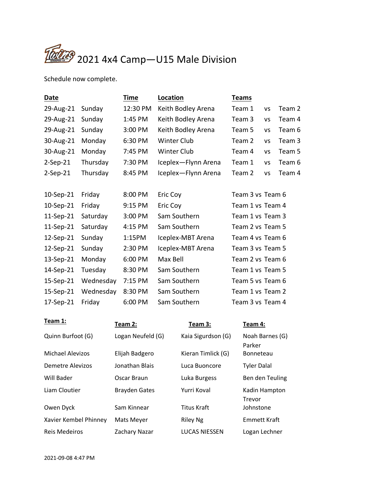

Schedule now complete.

| Date       |           | <b>Time</b> | Location            | <b>Teams</b>     |           |        |
|------------|-----------|-------------|---------------------|------------------|-----------|--------|
| 29-Aug-21  | Sunday    | 12:30 PM    | Keith Bodley Arena  | Team 1           | VS        | Team 2 |
| 29-Aug-21  | Sunday    | 1:45 PM     | Keith Bodley Arena  | Team 3           | VS        | Team 4 |
| 29-Aug-21  | Sunday    | 3:00 PM     | Keith Bodley Arena  | Team 5           | VS        | Team 6 |
| 30-Aug-21  | Monday    | 6:30 PM     | Winter Club         | Team 2           | <b>VS</b> | Team 3 |
| 30-Aug-21  | Monday    | 7:45 PM     | <b>Winter Club</b>  | Team 4           | <b>VS</b> | Team 5 |
| $2-Sep-21$ | Thursday  | 7:30 PM     | Iceplex-Flynn Arena | Team 1           | <b>VS</b> | Team 6 |
| $2-Sep-21$ | Thursday  | 8:45 PM     | Iceplex-Flynn Arena | Team 2           | <b>VS</b> | Team 4 |
|            |           |             |                     |                  |           |        |
| 10-Sep-21  | Friday    | 8:00 PM     | Eric Coy            | Team 3 vs Team 6 |           |        |
| 10-Sep-21  | Friday    | 9:15 PM     | Eric Coy            | Team 1 vs Team 4 |           |        |
| 11-Sep-21  | Saturday  | 3:00 PM     | Sam Southern        | Team 1 vs Team 3 |           |        |
| 11-Sep-21  | Saturday  | 4:15 PM     | Sam Southern        | Team 2 vs Team 5 |           |        |
| 12-Sep-21  | Sunday    | 1:15PM      | Iceplex-MBT Arena   | Team 4 vs Team 6 |           |        |
| 12-Sep-21  | Sunday    | 2:30 PM     | Iceplex-MBT Arena   | Team 3 vs Team 5 |           |        |
| 13-Sep-21  | Monday    | 6:00 PM     | Max Bell            | Team 2 vs Team 6 |           |        |
| 14-Sep-21  | Tuesday   | 8:30 PM     | Sam Southern        | Team 1 vs Team 5 |           |        |
| 15-Sep-21  | Wednesday | 7:15 PM     | Sam Southern        | Team 5 vs Team 6 |           |        |
| 15-Sep-21  | Wednesday | 8:30 PM     | Sam Southern        | Team 1 vs Team 2 |           |        |
| 17-Sep-21  | Friday    | 6:00 PM     | Sam Southern        | Team 3 vs Team 4 |           |        |

| Team 1:               | Team 2:              | Team 3:              | Team 4:                   |
|-----------------------|----------------------|----------------------|---------------------------|
| Quinn Burfoot (G)     | Logan Neufeld (G)    | Kaia Sigurdson (G)   | Noah Barnes (G)<br>Parker |
| Michael Alevizos      | Elijah Badgero       | Kieran Timlick (G)   | Bonneteau                 |
| Demetre Alevizos      | Jonathan Blais       | Luca Buoncore        | <b>Tyler Dalal</b>        |
| Will Bader            | Oscar Braun          | Luka Burgess         | Ben den Teuling           |
| Liam Cloutier         | <b>Brayden Gates</b> | Yurri Koval          | Kadin Hampton<br>Trevor   |
| Owen Dyck             | Sam Kinnear          | <b>Titus Kraft</b>   | Johnstone                 |
| Xavier Kembel Phinney | Mats Meyer           | <b>Riley Ng</b>      | <b>Emmett Kraft</b>       |
| Reis Medeiros         | Zachary Nazar        | <b>LUCAS NIESSEN</b> | Logan Lechner             |